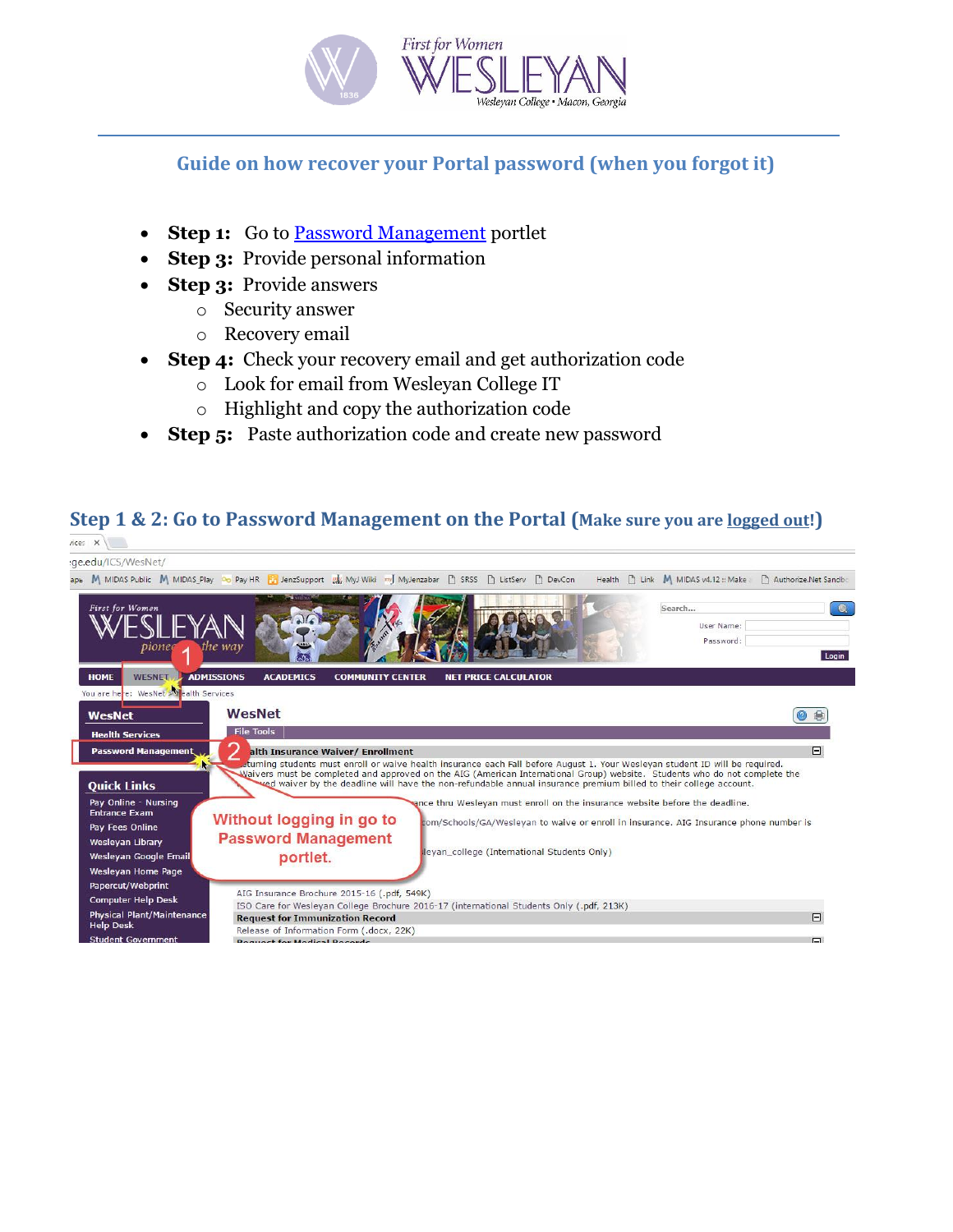

#### **Guide on how recover your Portal password (when you forgot it)**

- **Step 1:** Go to **Password Management** portlet
- **Step 3:** Provide personal information
- **Step 3:** Provide answers
	- o Security answer
	- o Recovery email
- **Step 4:** Check your recovery email and get authorization code
	- o Look for email from Wesleyan College IT
	- o Highlight and copy the authorization code
- **Step 5:** Paste authorization code and create new password

## **Step 1 & 2: Go to Password Management on the Portal (Make sure you are logged out!)**

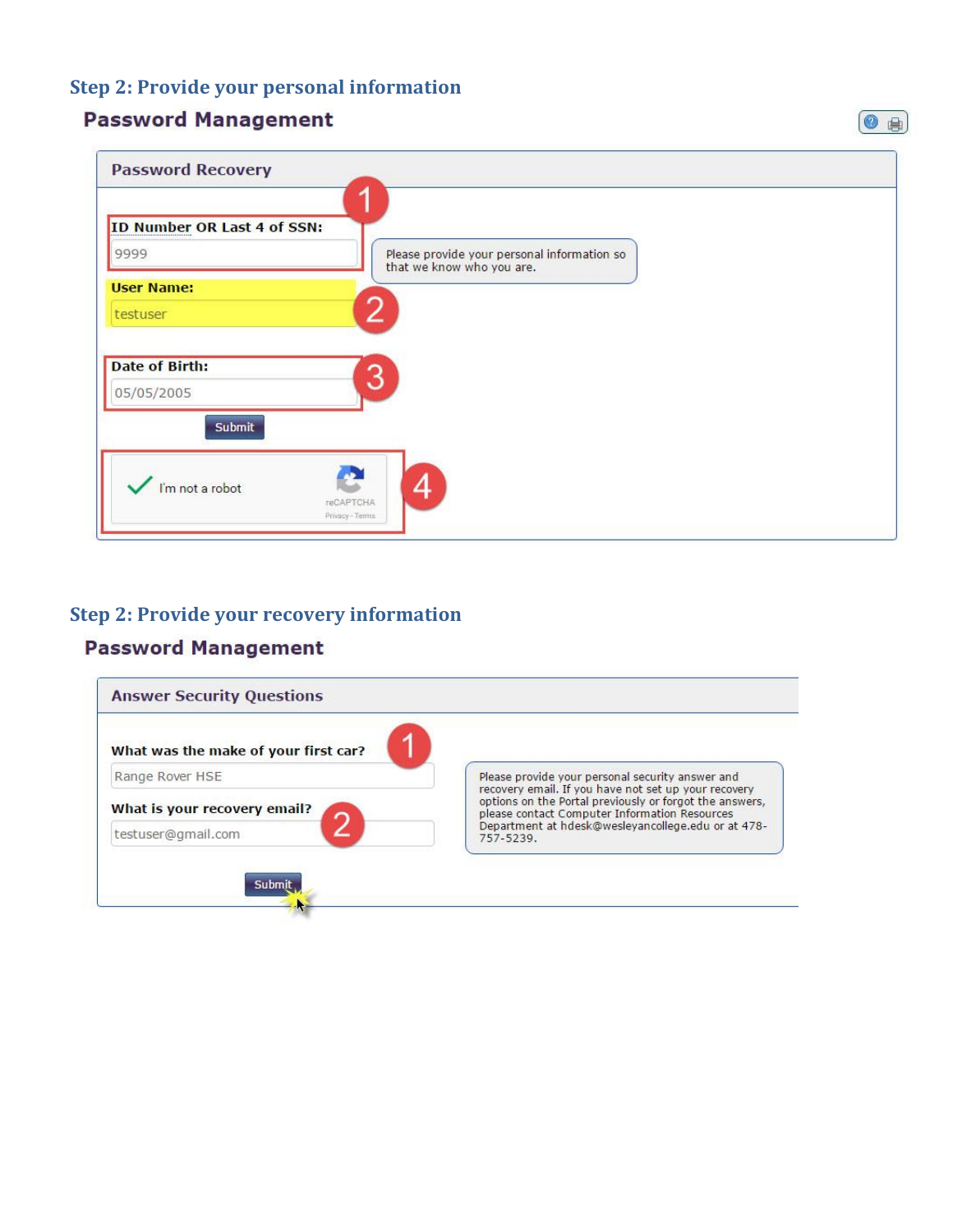# **Step 2: Provide your personal information**

### **Password Management**

| <b>Password Recovery</b>            |                                             |  |
|-------------------------------------|---------------------------------------------|--|
| ID Number OR Last 4 of SSN:<br>9999 | Please provide your personal information so |  |
| <b>User Name:</b><br>testuser       | that we know who you are.<br>2              |  |
| <b>Date of Birth:</b>               |                                             |  |
| 05/05/2005                          | 3                                           |  |
| Submit                              |                                             |  |
| I'm not a robot                     | 4<br>reCAPTCHA<br>Privacy - Tenns           |  |

#### **Step 2: Provide your recovery information**

# **Password Management**



◎ 曲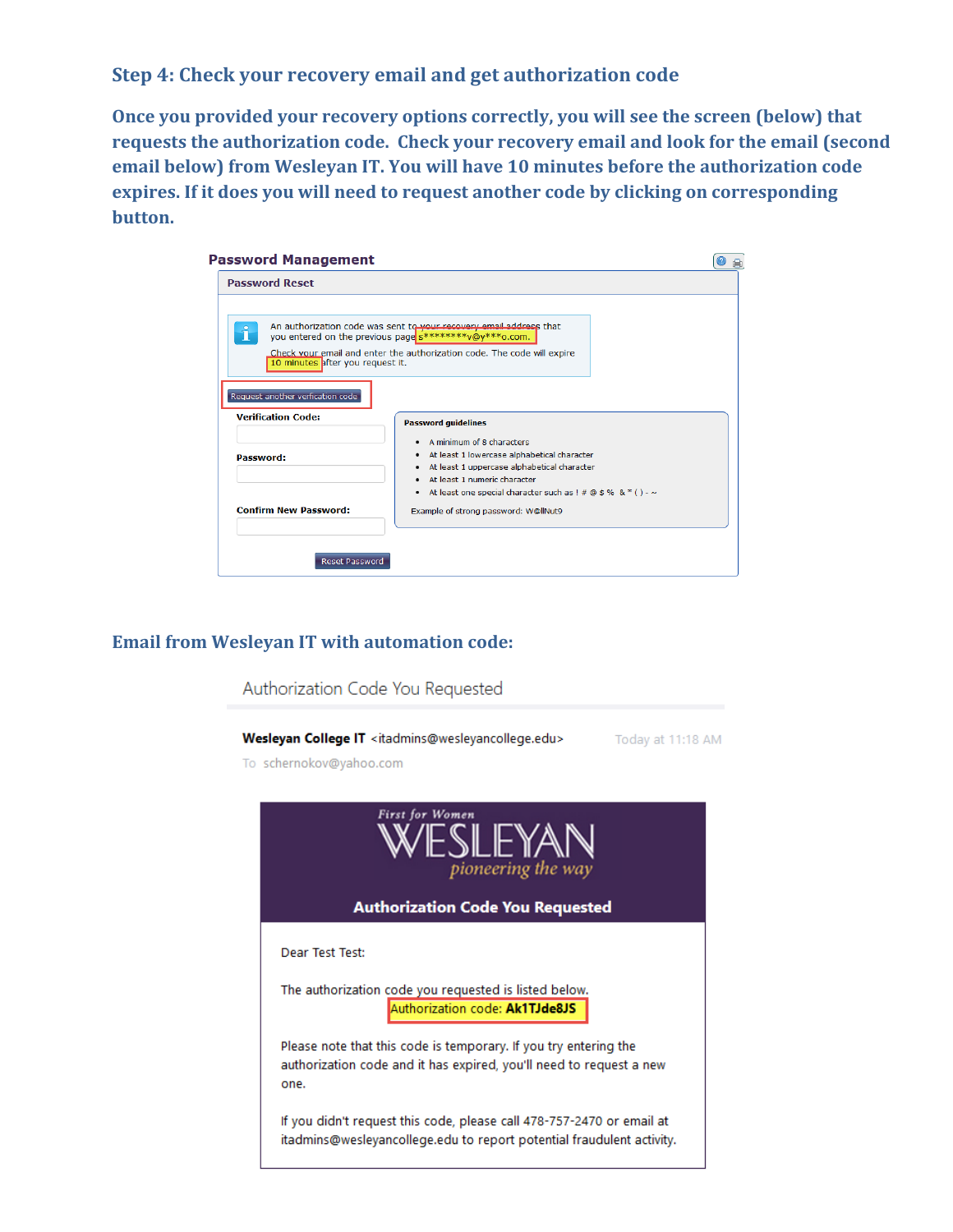#### **Step 4: Check your recovery email and get authorization code**

**Once you provided your recovery options correctly, you will see the screen (below) that requests the authorization code. Check your recovery email and look for the email (second email below) from Wesleyan IT. You will have 10 minutes before the authorization code expires. If it does you will need to request another code by clicking on corresponding button.**

| <b>Password Reset</b>            |                                                                                                                                                                                                                                                                                                      |  |
|----------------------------------|------------------------------------------------------------------------------------------------------------------------------------------------------------------------------------------------------------------------------------------------------------------------------------------------------|--|
|                                  |                                                                                                                                                                                                                                                                                                      |  |
|                                  |                                                                                                                                                                                                                                                                                                      |  |
|                                  | An authorization code was sent to your recovery email address that                                                                                                                                                                                                                                   |  |
| $\hat{1}$                        | you entered on the previous page s********v@y***o.com.                                                                                                                                                                                                                                               |  |
|                                  | Check your email and enter the authorization code. The code will expire                                                                                                                                                                                                                              |  |
| 10 minutes after you request it. |                                                                                                                                                                                                                                                                                                      |  |
|                                  |                                                                                                                                                                                                                                                                                                      |  |
| Request another verfication code |                                                                                                                                                                                                                                                                                                      |  |
| <b>Verification Code:</b>        |                                                                                                                                                                                                                                                                                                      |  |
|                                  | <b>Password guidelines</b>                                                                                                                                                                                                                                                                           |  |
|                                  | • A minimum of 8 characters                                                                                                                                                                                                                                                                          |  |
| <b>Password:</b>                 | • At least 1 lowercase alphabetical character                                                                                                                                                                                                                                                        |  |
|                                  | • At least 1 uppercase alphabetical character                                                                                                                                                                                                                                                        |  |
|                                  | • At least 1 numeric character                                                                                                                                                                                                                                                                       |  |
|                                  | • At least one special character such as $\frac{1}{2}$ $\frac{1}{2}$ $\frac{1}{2}$ $\frac{1}{2}$ $\frac{1}{2}$ $\frac{1}{2}$ $\frac{1}{2}$ $\frac{1}{2}$ $\frac{1}{2}$ $\frac{1}{2}$ $\frac{1}{2}$ $\frac{1}{2}$ $\frac{1}{2}$ $\frac{1}{2}$ $\frac{1}{2}$ $\frac{1}{2}$ $\frac{1}{2}$ $\frac{1}{2}$ |  |
| <b>Confirm New Password:</b>     | Example of strong password: W@llNut9                                                                                                                                                                                                                                                                 |  |
|                                  |                                                                                                                                                                                                                                                                                                      |  |
|                                  |                                                                                                                                                                                                                                                                                                      |  |
|                                  |                                                                                                                                                                                                                                                                                                      |  |

#### **Email from Wesleyan IT with automation code:**